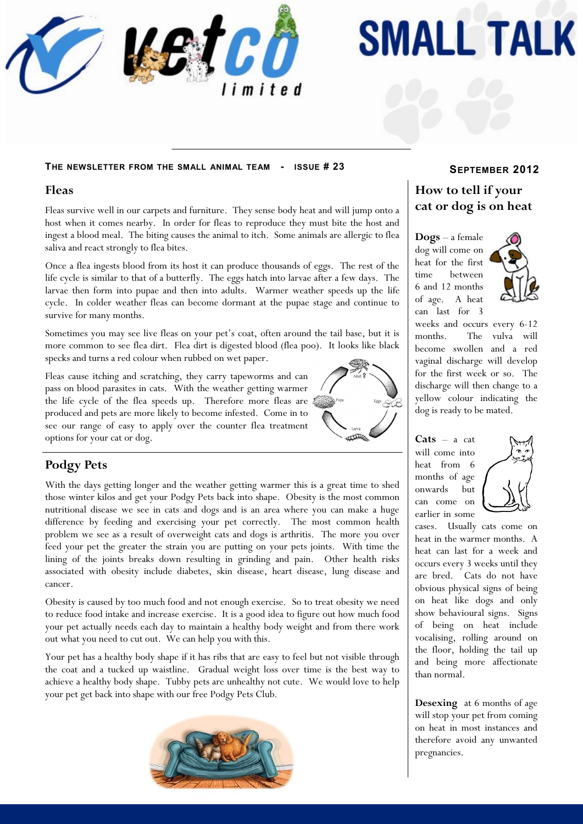

# **SMALL TALK**

#### **SEPTEMBER 2012 THE NEWSLETTER FROM THE SMALL ANIMAL TEAM - ISSUE # 23**

#### **Fleas**

Fleas survive well in our carpets and furniture. They sense body heat and will jump onto a host when it comes nearby. In order for fleas to reproduce they must bite the host and ingest a blood meal. The biting causes the animal to itch. Some animals are allergic to flea saliva and react strongly to flea bites.

Once a flea ingests blood from its host it can produce thousands of eggs. The rest of the life cycle is similar to that of a butterfly. The eggs hatch into larvae after a few days. The larvae then form into pupae and then into adults. Warmer weather speeds up the life cycle. In colder weather fleas can become dormant at the pupae stage and continue to survive for many months.

Sometimes you may see live fleas on your pet's coat, often around the tail base, but it is more common to see flea dirt. Flea dirt is digested blood (flea poo). It looks like black specks and turns a red colour when rubbed on wet paper.

Fleas cause itching and scratching, they carry tapeworms and can pass on blood parasites in cats. With the weather getting warmer the life cycle of the flea speeds up. Therefore more fleas are produced and pets are more likely to become infested. Come in to see our range of easy to apply over the counter flea treatment options for your cat or dog.

#### **Podgy Pets**

With the days getting longer and the weather getting warmer this is a great time to shed those winter kilos and get your Podgy Pets back into shape. Obesity is the most common nutritional disease we see in cats and dogs and is an area where you can make a huge difference by feeding and exercising your pet correctly. The most common health problem we see as a result of overweight cats and dogs is arthritis. The more you over feed your pet the greater the strain you are putting on your pets joints. With time the lining of the joints breaks down resulting in grinding and pain. Other health risks associated with obesity include diabetes, skin disease, heart disease, lung disease and cancer.

Obesity is caused by too much food and not enough exercise. So to treat obesity we need to reduce food intake and increase exercise. It is a good idea to figure out how much food your pet actually needs each day to maintain a healthy body weight and from there work out what you need to cut out. We can help you with this.

Your pet has a healthy body shape if it has ribs that are easy to feel but not visible through the coat and a tucked up waistline. Gradual weight loss over time is the best way to achieve a healthy body shape. Tubby pets are unhealthy not cute. We would love to help your pet get back into shape with our free Podgy Pets Club.



### **How to tell if your cat or dog is on heat**

**Dogs** – a female dog will come on heat for the first time between 6 and 12 months of age. A heat can last for 3



weeks and occurs every 6-12 months. The vulva will become swollen and a red vaginal discharge will develop for the first week or so. The discharge will then change to a yellow colour indicating the dog is ready to be mated.

**Cats** – a cat will come into heat from 6 months of age onwards but can come on earlier in some



cases. Usually cats come on heat in the warmer months. A heat can last for a week and occurs every 3 weeks until they are bred. Cats do not have obvious physical signs of being on heat like dogs and only show behavioural signs. Signs of being on heat include vocalising, rolling around on the floor, holding the tail up and being more affectionate than normal.

**Desexing** at 6 months of age will stop your pet from coming on heat in most instances and therefore avoid any unwanted pregnancies.